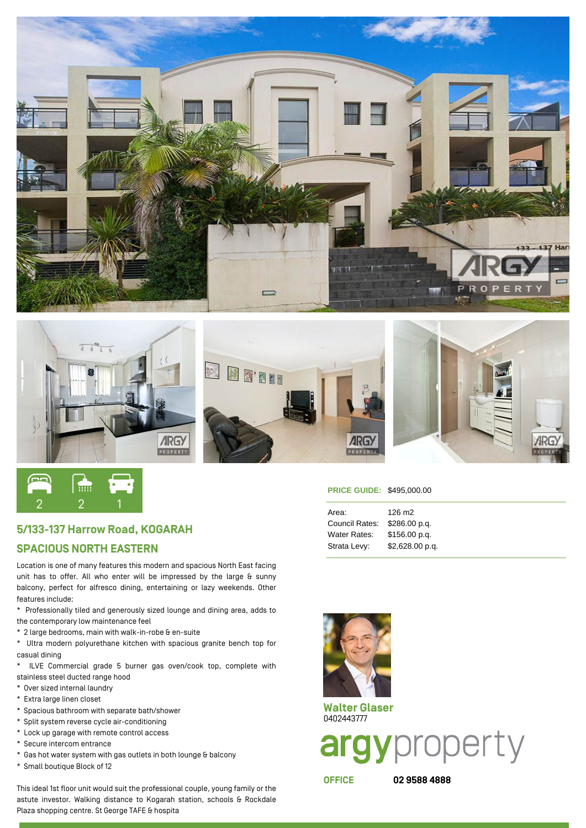





## 5/133-137 Harrow Road, KOGARAH

## SPACIOUS NORTH EASTERN

Location is one of many features this modern and spacious North East facing unit has to offer. All who enter will be impressed by the large & sunny balcony, perfect for alfresco dining, entertaining or lazy weekends. Other features include:

\* Professionally tiled and generously sized lounge and dining area, adds to the contemporary low maintenance feel

\* 2 large bedrooms, main with walk-in-robe & en-suite

\* Ultra modern polyurethane kitchen with spacious granite bench top for casual dining

\* ILVE Commercial grade 5 burner gas oven/cook top, complete with stainless steel ducted range hood

- \* Over sized internal laundry
- \* Extra large linen closet
- \* Spacious bathroom with separate bath/shower
- \* Split system reverse cycle air-conditioning
- \* Lock up garage with remote control access
- \* Secure intercom entrance
- \* Gas hot water system with gas outlets in both lounge & balcony
- \* Small boutique Block of 12

This ideal 1st floor unit would suit the professional couple, young family or the astute investor. Walking distance to Kogarah station, schools & Rockdale Plaza shopping centre. St George TAFE & hospita

## **PRICE GUIDE:** \$495,000.00

| Area:                        | 126 m <sub>2</sub> |
|------------------------------|--------------------|
| Council Rates: \$286.00 p.g. |                    |
| Water Rates: \$156.00 p.g.   |                    |
| Strata Levy:                 | \$2,628.00 p.q.    |



Walter Glaser 0402443777

argyproperty

OFFICE 02 9588 4888